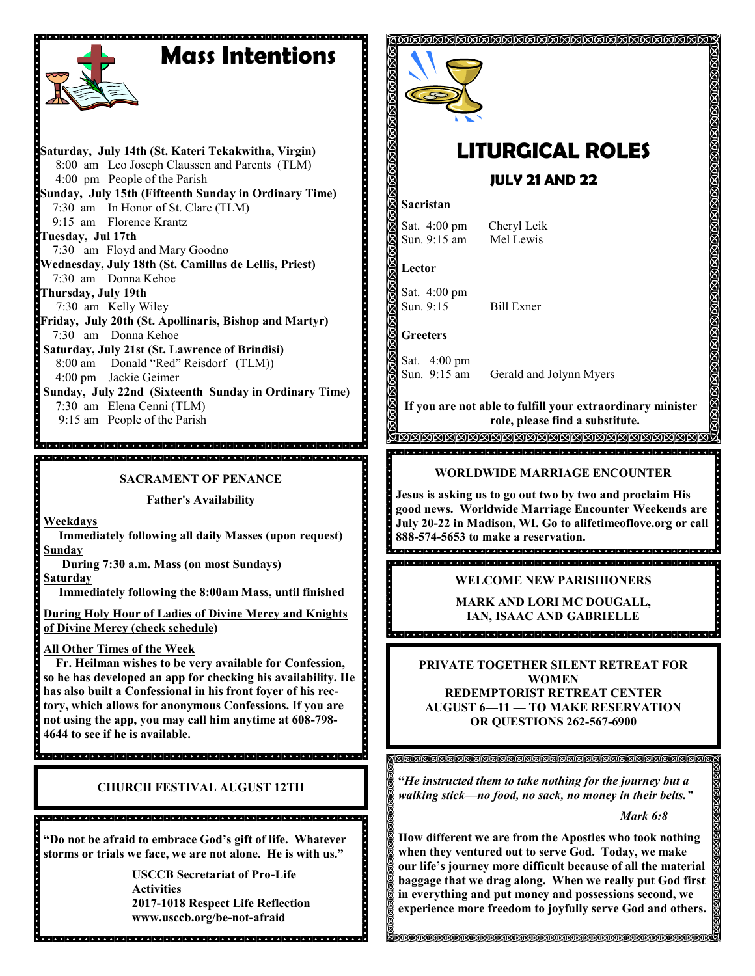## **Mass Intentions**



**Saturday, July 14th (St. Kateri Tekakwitha, Virgin)** 8:00 am Leo Joseph Claussen and Parents (TLM) 4:00 pm People of the Parish **Sunday, July 15th (Fifteenth Sunday in Ordinary Time)** 7:30 am In Honor of St. Clare (TLM) 9:15 am Florence Krantz **Tuesday, Jul 17th** 7:30 am Floyd and Mary Goodno **Wednesday, July 18th (St. Camillus de Lellis, Priest)** 7:30 am Donna Kehoe **Thursday, July 19th**  7:30 am Kelly Wiley **Friday, July 20th (St. Apollinaris, Bishop and Martyr)** 7:30 am Donna Kehoe **Saturday, July 21st (St. Lawrence of Brindisi)** 8:00 am Donald "Red" Reisdorf (TLM)) 4:00 pm Jackie Geimer **Sunday, July 22nd (Sixteenth Sunday in Ordinary Time)** 7:30 am Elena Cenni (TLM)

9:15 am People of the Parish

**SACRAMENT OF PENANCE**

**Father's Availability**

**Weekdays**

 **Immediately following all daily Masses (upon request) Sunday** 

 **During 7:30 a.m. Mass (on most Sundays)**

**Saturday**

 **Immediately following the 8:00am Mass, until finished** 

**During Holy Hour of Ladies of Divine Mercy and Knights of Divine Mercy (check schedule)**

**All Other Times of the Week** 

 **Fr. Heilman wishes to be very available for Confession, so he has developed an app for checking his availability. He has also built a Confessional in his front foyer of his rectory, which allows for anonymous Confessions. If you are not using the app, you may call him anytime at 608-798- 4644 to see if he is available.** 

**CHURCH FESTIVAL AUGUST 12TH**

**"Do not be afraid to embrace God's gift of life. Whatever storms or trials we face, we are not alone. He is with us."**

**USCCB Secretariat of Pro-Life Activities 2017-1018 Respect Life Reflection www.usccb.org/be-not-afraid** 



# **LITURGICAL ROLES**

 **JULY 21 AND 22**

#### **Sacristan**

Sat. 4:00 pm Cheryl Leik<br>Sun 9:15 am Mel Lewis Sun.  $9:15$  am

**Lector**

Sat. 4:00 pm Sun. 9:15 Bill Exner

**Greeters**

Sat. 4:00 pm

Sun. 9:15 am Gerald and Jolynn Myers

**If you are not able to fulfill your extraordinary minister role, please find a substitute.**  <u>TAMAMANAN SEMBERAN SEMBERAN SEMBERAN SEMBERAN SEMBERAN SEMBERAN SEMBERAN SEMBERAN SEMBERAN SEMBERAN SEMBERAN S</u>

#### **WORLDWIDE MARRIAGE ENCOUNTER**

**Jesus is asking us to go out two by two and proclaim His good news. Worldwide Marriage Encounter Weekends are July 20-22 in Madison, WI. Go to alifetimeoflove.org or call 888-574-5653 to make a reservation.** 

**WELCOME NEW PARISHIONERS**

**MARK AND LORI MC DOUGALL, IAN, ISAAC AND GABRIELLE**<br>**Incredibed Contract Contract Contract Contract Contract Contract Contract Contract Contract Contract Contract** 

> **PRIVATE TOGETHER SILENT RETREAT FOR WOMEN REDEMPTORIST RETREAT CENTER AUGUST 6—11 — TO MAKE RESERVATION OR QUESTIONS 262-567-6900**

**"***He instructed them to take nothing for the journey but a walking stick—no food, no sack, no money in their belts."*

*Mark 6:8*

**How different we are from the Apostles who took nothing when they ventured out to serve God. Today, we make our life's journey more difficult because of all the material baggage that we drag along. When we really put God first in everything and put money and possessions second, we experience more freedom to joyfully serve God and others.**